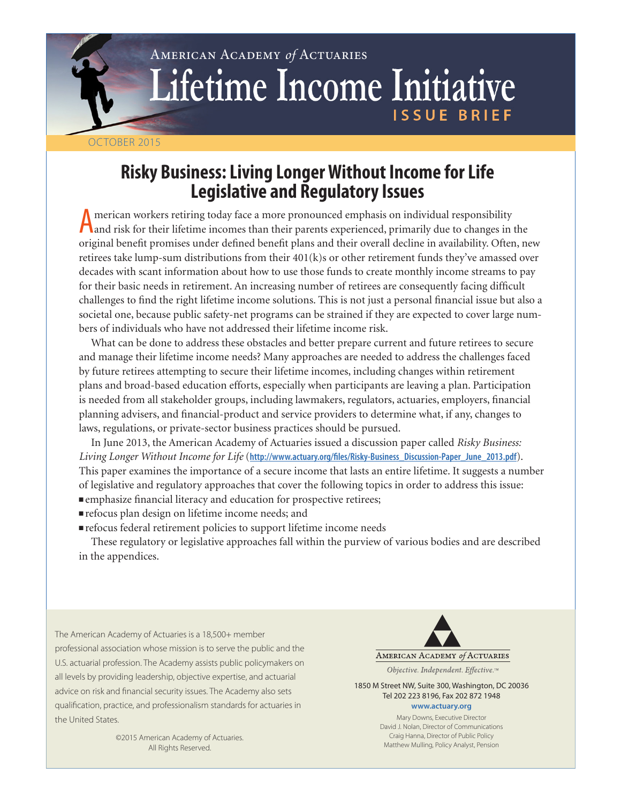# American Academy *of* Actuaries Lifetime Income Initiative **ISSUE BRIEF**

## OCTOBER 2015

## **Risky Business: Living Longer Without Income for Life Legislative and Regulatory Issues**

American workers retiring today face a more pronounced emphasis on individual responsibility<br>and risk for their lifetime incomes than their parents experienced, primarily due to changes in the<br>intervals of the contract of original benefit promises under defined benefit plans and their overall decline in availability. Often, new retirees take lump-sum distributions from their 401(k)s or other retirement funds they've amassed over decades with scant information about how to use those funds to create monthly income streams to pay for their basic needs in retirement. An increasing number of retirees are consequently facing difficult challenges to find the right lifetime income solutions. This is not just a personal financial issue but also a societal one, because public safety-net programs can be strained if they are expected to cover large numbers of individuals who have not addressed their lifetime income risk.

What can be done to address these obstacles and better prepare current and future retirees to secure and manage their lifetime income needs? Many approaches are needed to address the challenges faced by future retirees attempting to secure their lifetime incomes, including changes within retirement plans and broad-based education efforts, especially when participants are leaving a plan. Participation is needed from all stakeholder groups, including lawmakers, regulators, actuaries, employers, financial planning advisers, and financial-product and service providers to determine what, if any, changes to laws, regulations, or private-sector business practices should be pursued.

In June 2013, the American Academy of Actuaries issued a discussion paper called *Risky Business: Living Longer Without Income for Life* (**http://www.actuary.org/files/Risky-Business\_Discussion-Paper\_June\_2013.pdf**). This paper examines the importance of a secure income that lasts an entire lifetime. It suggests a number of legislative and regulatory approaches that cover the following topics in order to address this issue: nemphasize financial literacy and education for prospective retirees;

- nrefocus plan design on lifetime income needs; and
- $\blacksquare$  refocus federal retirement policies to support lifetime income needs

These regulatory or legislative approaches fall within the purview of various bodies and are described in the appendices.

The American Academy of Actuaries is a 18,500+ member professional association whose mission is to serve the public and the U.S. actuarial profession. The Academy assists public policymakers on all levels by providing leadership, objective expertise, and actuarial advice on risk and financial security issues. The Academy also sets qualification, practice, and professionalism standards for actuaries in the United States.

> ©2015 American Academy of Actuaries. All Rights Reserved.

AMERICAN ACADEMY of ACTUARIES

Objective. Independent. Effective.™

1850 M Street NW, Suite 300, Washington, DC 20036 Tel 202 223 8196, Fax 202 872 1948 **<www.actuary.org>**

> Mary Downs, Executive Director David J. Nolan, Director of Communications Craig Hanna, Director of Public Policy Matthew Mulling, Policy Analyst, Pension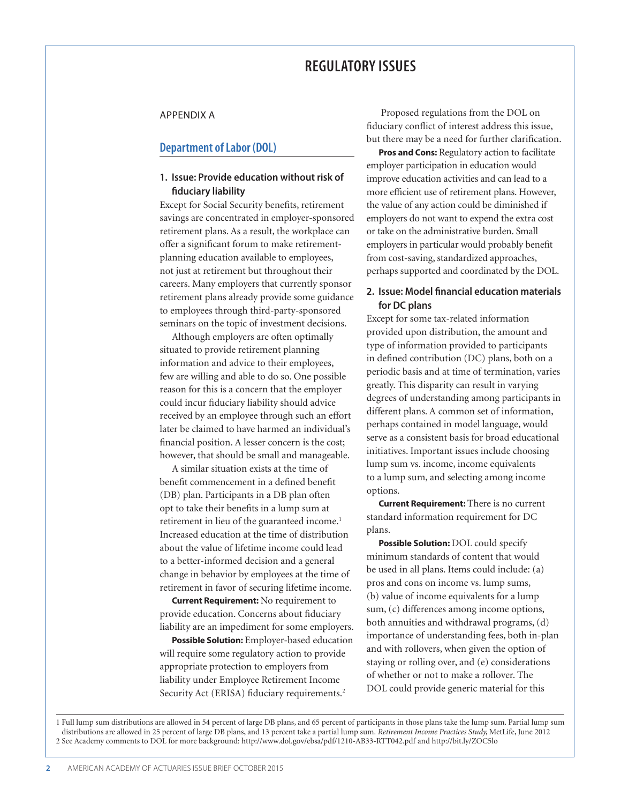## **REGULATORY ISSUES**

#### APPENDIX A

#### **Department of Labor (DOL)**

## **1. Issue: Provide education without risk of fiduciary liability**

Except for Social Security benefits, retirement savings are concentrated in employer-sponsored retirement plans. As a result, the workplace can offer a significant forum to make retirementplanning education available to employees, not just at retirement but throughout their careers. Many employers that currently sponsor retirement plans already provide some guidance to employees through third-party-sponsored seminars on the topic of investment decisions.

Although employers are often optimally situated to provide retirement planning information and advice to their employees, few are willing and able to do so. One possible reason for this is a concern that the employer could incur fiduciary liability should advice received by an employee through such an effort later be claimed to have harmed an individual's financial position. A lesser concern is the cost; however, that should be small and manageable.

A similar situation exists at the time of benefit commencement in a defined benefit (DB) plan. Participants in a DB plan often opt to take their benefits in a lump sum at retirement in lieu of the guaranteed income.<sup>1</sup> Increased education at the time of distribution about the value of lifetime income could lead to a better-informed decision and a general change in behavior by employees at the time of retirement in favor of securing lifetime income.

**Current Requirement:** No requirement to provide education. Concerns about fiduciary liability are an impediment for some employers.

**Possible Solution:** Employer-based education will require some regulatory action to provide appropriate protection to employers from liability under Employee Retirement Income Security Act (ERISA) fiduciary requirements.<sup>2</sup>

 Proposed regulations from the DOL on fiduciary conflict of interest address this issue, but there may be a need for further clarification.

**Pros and Cons:** Regulatory action to facilitate employer participation in education would improve education activities and can lead to a more efficient use of retirement plans. However, the value of any action could be diminished if employers do not want to expend the extra cost or take on the administrative burden. Small employers in particular would probably benefit from cost-saving, standardized approaches, perhaps supported and coordinated by the DOL.

## **2. Issue: Model financial education materials for DC plans**

Except for some tax-related information provided upon distribution, the amount and type of information provided to participants in defined contribution (DC) plans, both on a periodic basis and at time of termination, varies greatly. This disparity can result in varying degrees of understanding among participants in different plans. A common set of information, perhaps contained in model language, would serve as a consistent basis for broad educational initiatives. Important issues include choosing lump sum vs. income, income equivalents to a lump sum, and selecting among income options.

**Current Requirement:** There is no current standard information requirement for DC plans.

**Possible Solution:** DOL could specify minimum standards of content that would be used in all plans. Items could include: (a) pros and cons on income vs. lump sums, (b) value of income equivalents for a lump sum, (c) differences among income options, both annuities and withdrawal programs, (d) importance of understanding fees, both in-plan and with rollovers, when given the option of staying or rolling over, and (e) considerations of whether or not to make a rollover. The DOL could provide generic material for this

1 Full lump sum distributions are allowed in 54 percent of large DB plans, and 65 percent of participants in those plans take the lump sum. Partial lump sum distributions are allowed in 25 percent of large DB plans, and 13 percent take a partial lump sum. *Retirement Income Practices Study,* MetLife, June 2012 2 See Academy comments to DOL for more background: http://www.dol.gov/ebsa/pdf/1210-AB33-RTT042.pdf and http://bit.ly/ZOC5lo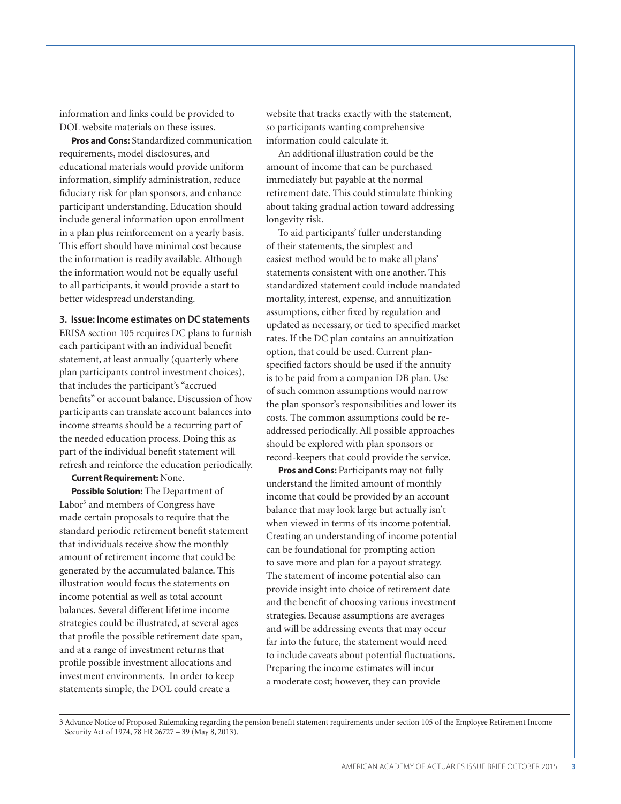information and links could be provided to DOL website materials on these issues.

**Pros and Cons:** Standardized communication requirements, model disclosures, and educational materials would provide uniform information, simplify administration, reduce fiduciary risk for plan sponsors, and enhance participant understanding. Education should include general information upon enrollment in a plan plus reinforcement on a yearly basis. This effort should have minimal cost because the information is readily available. Although the information would not be equally useful to all participants, it would provide a start to better widespread understanding.

**3. Issue: Income estimates on DC statements**

ERISA section 105 requires DC plans to furnish each participant with an individual benefit statement, at least annually (quarterly where plan participants control investment choices), that includes the participant's "accrued benefits" or account balance. Discussion of how participants can translate account balances into income streams should be a recurring part of the needed education process. Doing this as part of the individual benefit statement will refresh and reinforce the education periodically.

**Current Requirement:** None.

**Possible Solution:** The Department of Labor<sup>3</sup> and members of Congress have made certain proposals to require that the standard periodic retirement benefit statement that individuals receive show the monthly amount of retirement income that could be generated by the accumulated balance. This illustration would focus the statements on income potential as well as total account balances. Several different lifetime income strategies could be illustrated, at several ages that profile the possible retirement date span, and at a range of investment returns that profile possible investment allocations and investment environments. In order to keep statements simple, the DOL could create a

website that tracks exactly with the statement, so participants wanting comprehensive information could calculate it.

An additional illustration could be the amount of income that can be purchased immediately but payable at the normal retirement date. This could stimulate thinking about taking gradual action toward addressing longevity risk.

To aid participants' fuller understanding of their statements, the simplest and easiest method would be to make all plans' statements consistent with one another. This standardized statement could include mandated mortality, interest, expense, and annuitization assumptions, either fixed by regulation and updated as necessary, or tied to specified market rates. If the DC plan contains an annuitization option, that could be used. Current planspecified factors should be used if the annuity is to be paid from a companion DB plan. Use of such common assumptions would narrow the plan sponsor's responsibilities and lower its costs. The common assumptions could be readdressed periodically. All possible approaches should be explored with plan sponsors or record-keepers that could provide the service.

**Pros and Cons:** Participants may not fully understand the limited amount of monthly income that could be provided by an account balance that may look large but actually isn't when viewed in terms of its income potential. Creating an understanding of income potential can be foundational for prompting action to save more and plan for a payout strategy. The statement of income potential also can provide insight into choice of retirement date and the benefit of choosing various investment strategies. Because assumptions are averages and will be addressing events that may occur far into the future, the statement would need to include caveats about potential fluctuations. Preparing the income estimates will incur a moderate cost; however, they can provide

3 Advance Notice of Proposed Rulemaking regarding the pension benefit statement requirements under section 105 of the Employee Retirement Income Security Act of 1974, 78 FR 26727 - 39 (May 8, 2013).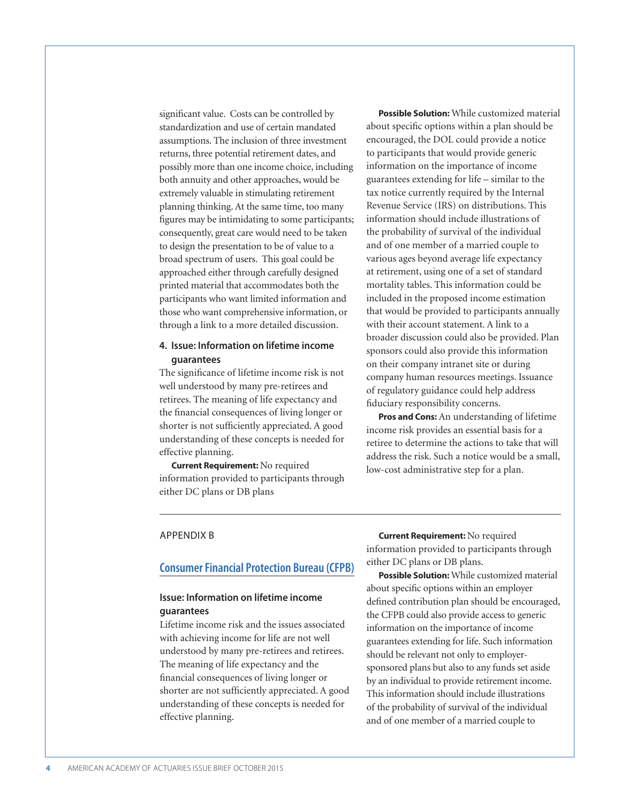significant value. Costs can be controlled by standardization and use of certain mandated assumptions. The inclusion of three investment returns, three potential retirement dates, and possibly more than one income choice, including both annuity and other approaches, would be extremely valuable in stimulating retirement planning thinking. At the same time, too many figures may be intimidating to some participants; consequently, great care would need to be taken to design the presentation to be of value to a broad spectrum of users. This goal could be approached either through carefully designed printed material that accommodates both the participants who want limited information and those who want comprehensive information, or through a link to a more detailed discussion.

## **4. Issue: Information on lifetime income guarantees**

The significance of lifetime income risk is not well understood by many pre-retirees and retirees. The meaning of life expectancy and the financial consequences of living longer or shorter is not sufficiently appreciated. A good understanding of these concepts is needed for effective planning.

**Current Requirement:** No required information provided to participants through either DC plans or DB plans

**Possible Solution:** While customized material about specific options within a plan should be encouraged, the DOL could provide a notice to participants that would provide generic information on the importance of income guarantees extending for life – similar to the tax notice currently required by the Internal Revenue Service (IRS) on distributions. This information should include illustrations of the probability of survival of the individual and of one member of a married couple to various ages beyond average life expectancy at retirement, using one of a set of standard mortality tables. This information could be included in the proposed income estimation that would be provided to participants annually with their account statement. A link to a broader discussion could also be provided. Plan sponsors could also provide this information on their company intranet site or during company human resources meetings. Issuance of regulatory guidance could help address fiduciary responsibility concerns.

**Pros and Cons:** An understanding of lifetime income risk provides an essential basis for a retiree to determine the actions to take that will address the risk. Such a notice would be a small, low-cost administrative step for a plan.

#### APPENDIX B

## **Consumer Financial Protection Bureau (CFPB)**

## **Issue: Information on lifetime income guarantees**

Lifetime income risk and the issues associated with achieving income for life are not well understood by many pre-retirees and retirees. The meaning of life expectancy and the financial consequences of living longer or shorter are not sufficiently appreciated. A good understanding of these concepts is needed for effective planning.

**Current Requirement:** No required information provided to participants through either DC plans or DB plans.

**Possible Solution:** While customized material about specific options within an employer defined contribution plan should be encouraged, the CFPB could also provide access to generic information on the importance of income guarantees extending for life. Such information should be relevant not only to employersponsored plans but also to any funds set aside by an individual to provide retirement income. This information should include illustrations of the probability of survival of the individual and of one member of a married couple to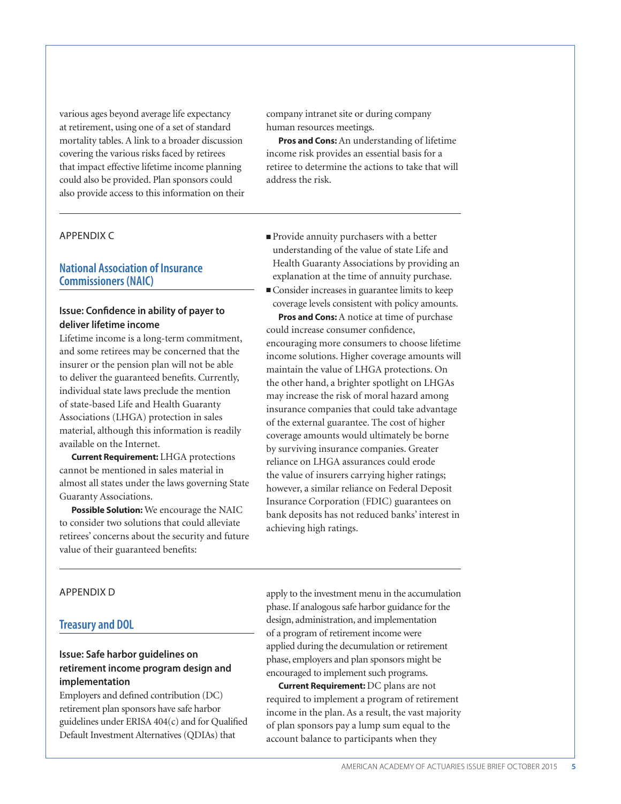various ages beyond average life expectancy at retirement, using one of a set of standard mortality tables. A link to a broader discussion covering the various risks faced by retirees that impact effective lifetime income planning could also be provided. Plan sponsors could also provide access to this information on their

## APPENDIX C

## **National Association of Insurance Commissioners (NAIC)**

## **Issue: Confidence in ability of payer to deliver lifetime income**

Lifetime income is a long-term commitment, and some retirees may be concerned that the insurer or the pension plan will not be able to deliver the guaranteed benefits. Currently, individual state laws preclude the mention of state-based Life and Health Guaranty Associations (LHGA) protection in sales material, although this information is readily available on the Internet.

**Current Requirement:** LHGA protections cannot be mentioned in sales material in almost all states under the laws governing State Guaranty Associations.

**Possible Solution:** We encourage the NAIC to consider two solutions that could alleviate retirees' concerns about the security and future value of their guaranteed benefits:

company intranet site or during company human resources meetings.

**Pros and Cons:** An understanding of lifetime income risk provides an essential basis for a retiree to determine the actions to take that will address the risk.

- <sup>n</sup>Provide annuity purchasers with a better understanding of the value of state Life and Health Guaranty Associations by providing an explanation at the time of annuity purchase.
- <sup>n</sup>Consider increases in guarantee limits to keep coverage levels consistent with policy amounts.

**Pros and Cons:** A notice at time of purchase could increase consumer confidence, encouraging more consumers to choose lifetime income solutions. Higher coverage amounts will maintain the value of LHGA protections. On the other hand, a brighter spotlight on LHGAs may increase the risk of moral hazard among insurance companies that could take advantage of the external guarantee. The cost of higher coverage amounts would ultimately be borne by surviving insurance companies. Greater reliance on LHGA assurances could erode the value of insurers carrying higher ratings; however, a similar reliance on Federal Deposit Insurance Corporation (FDIC) guarantees on bank deposits has not reduced banks' interest in achieving high ratings.

### APPENDIX D

## **Treasury and DOL**

## **Issue: Safe harbor guidelines on retirement income program design and implementation**

Employers and defined contribution (DC) retirement plan sponsors have safe harbor guidelines under ERISA 404(c) and for Qualified Default Investment Alternatives (QDIAs) that

apply to the investment menu in the accumulation phase. If analogous safe harbor guidance for the design, administration, and implementation of a program of retirement income were applied during the decumulation or retirement phase, employers and plan sponsors might be encouraged to implement such programs.

**Current Requirement:** DC plans are not required to implement a program of retirement income in the plan. As a result, the vast majority of plan sponsors pay a lump sum equal to the account balance to participants when they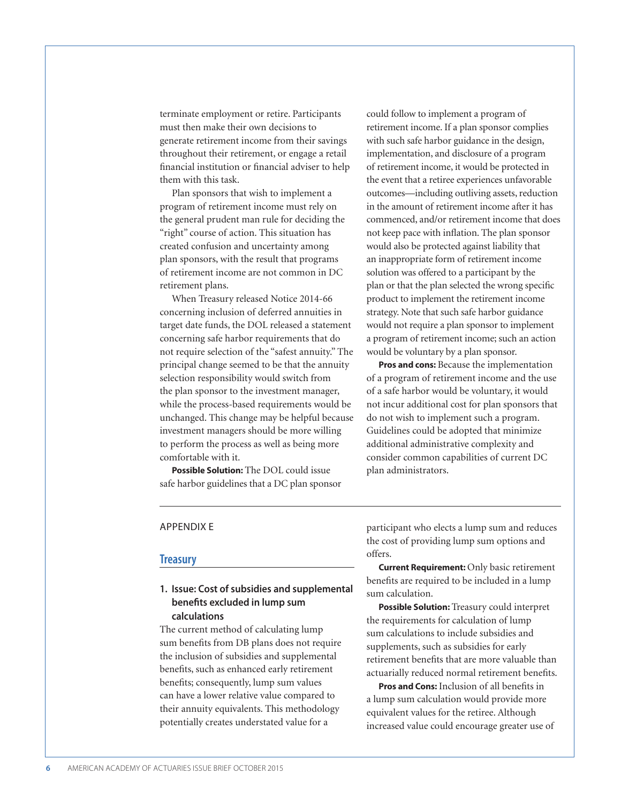terminate employment or retire. Participants must then make their own decisions to generate retirement income from their savings throughout their retirement, or engage a retail financial institution or financial adviser to help them with this task.

Plan sponsors that wish to implement a program of retirement income must rely on the general prudent man rule for deciding the "right" course of action. This situation has created confusion and uncertainty among plan sponsors, with the result that programs of retirement income are not common in DC retirement plans.

When Treasury released Notice 2014-66 concerning inclusion of deferred annuities in target date funds, the DOL released a statement concerning safe harbor requirements that do not require selection of the "safest annuity." The principal change seemed to be that the annuity selection responsibility would switch from the plan sponsor to the investment manager, while the process-based requirements would be unchanged. This change may be helpful because investment managers should be more willing to perform the process as well as being more comfortable with it.

**Possible Solution:** The DOL could issue safe harbor guidelines that a DC plan sponsor could follow to implement a program of retirement income. If a plan sponsor complies with such safe harbor guidance in the design, implementation, and disclosure of a program of retirement income, it would be protected in the event that a retiree experiences unfavorable outcomes—including outliving assets, reduction in the amount of retirement income after it has commenced, and/or retirement income that does not keep pace with inflation. The plan sponsor would also be protected against liability that an inappropriate form of retirement income solution was offered to a participant by the plan or that the plan selected the wrong specific product to implement the retirement income strategy. Note that such safe harbor guidance would not require a plan sponsor to implement a program of retirement income; such an action would be voluntary by a plan sponsor.

**Pros and cons:** Because the implementation of a program of retirement income and the use of a safe harbor would be voluntary, it would not incur additional cost for plan sponsors that do not wish to implement such a program. Guidelines could be adopted that minimize additional administrative complexity and consider common capabilities of current DC plan administrators.

#### APPENDIX E

#### **Treasury**

## **1. Issue: Cost of subsidies and supplemental benefits excluded in lump sum calculations**

The current method of calculating lump sum benefits from DB plans does not require the inclusion of subsidies and supplemental benefits, such as enhanced early retirement benefits; consequently, lump sum values can have a lower relative value compared to their annuity equivalents. This methodology potentially creates understated value for a

participant who elects a lump sum and reduces the cost of providing lump sum options and offers.

**Current Requirement:** Only basic retirement benefits are required to be included in a lump sum calculation.

**Possible Solution:** Treasury could interpret the requirements for calculation of lump sum calculations to include subsidies and supplements, such as subsidies for early retirement benefits that are more valuable than actuarially reduced normal retirement benefits.

**Pros and Cons:** Inclusion of all benefits in a lump sum calculation would provide more equivalent values for the retiree. Although increased value could encourage greater use of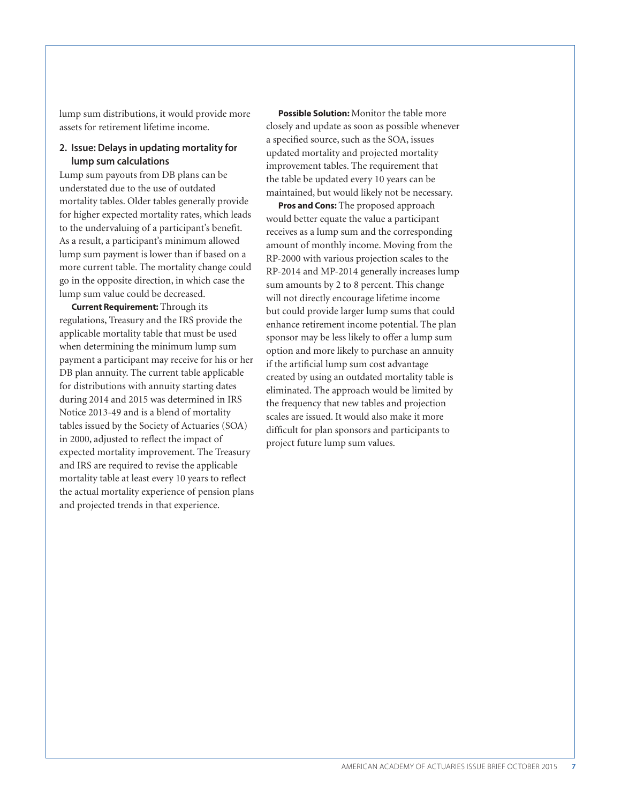lump sum distributions, it would provide more assets for retirement lifetime income.

## **2. Issue: Delays in updating mortality for lump sum calculations**

Lump sum payouts from DB plans can be understated due to the use of outdated mortality tables. Older tables generally provide for higher expected mortality rates, which leads to the undervaluing of a participant's benefit. As a result, a participant's minimum allowed lump sum payment is lower than if based on a more current table. The mortality change could go in the opposite direction, in which case the lump sum value could be decreased.

**Current Requirement:** Through its regulations, Treasury and the IRS provide the applicable mortality table that must be used when determining the minimum lump sum payment a participant may receive for his or her DB plan annuity. The current table applicable for distributions with annuity starting dates during 2014 and 2015 was determined in IRS Notice 2013-49 and is a blend of mortality tables issued by the Society of Actuaries (SOA) in 2000, adjusted to reflect the impact of expected mortality improvement. The Treasury and IRS are required to revise the applicable mortality table at least every 10 years to reflect the actual mortality experience of pension plans and projected trends in that experience.

**Possible Solution:** Monitor the table more closely and update as soon as possible whenever a specified source, such as the SOA, issues updated mortality and projected mortality improvement tables. The requirement that the table be updated every 10 years can be maintained, but would likely not be necessary.

**Pros and Cons:** The proposed approach would better equate the value a participant receives as a lump sum and the corresponding amount of monthly income. Moving from the RP-2000 with various projection scales to the RP-2014 and MP-2014 generally increases lump sum amounts by 2 to 8 percent. This change will not directly encourage lifetime income but could provide larger lump sums that could enhance retirement income potential. The plan sponsor may be less likely to offer a lump sum option and more likely to purchase an annuity if the artificial lump sum cost advantage created by using an outdated mortality table is eliminated. The approach would be limited by the frequency that new tables and projection scales are issued. It would also make it more difficult for plan sponsors and participants to project future lump sum values.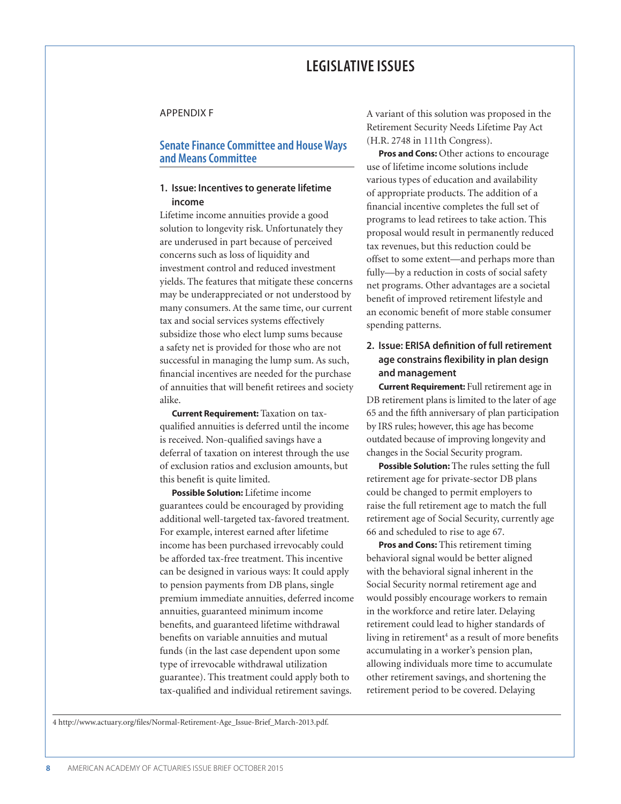## **LEGISLATIVE ISSUES**

#### APPENDIX F

## **Senate Finance Committee and House Ways and Means Committee**

## **1. Issue: Incentives to generate lifetime income**

Lifetime income annuities provide a good solution to longevity risk. Unfortunately they are underused in part because of perceived concerns such as loss of liquidity and investment control and reduced investment yields. The features that mitigate these concerns may be underappreciated or not understood by many consumers. At the same time, our current tax and social services systems effectively subsidize those who elect lump sums because a safety net is provided for those who are not successful in managing the lump sum. As such, financial incentives are needed for the purchase of annuities that will benefit retirees and society alike.

**Current Requirement:** Taxation on taxqualified annuities is deferred until the income is received. Non-qualified savings have a deferral of taxation on interest through the use of exclusion ratios and exclusion amounts, but this benefit is quite limited.

**Possible Solution:** Lifetime income guarantees could be encouraged by providing additional well-targeted tax-favored treatment. For example, interest earned after lifetime income has been purchased irrevocably could be afforded tax-free treatment. This incentive can be designed in various ways: It could apply to pension payments from DB plans, single premium immediate annuities, deferred income annuities, guaranteed minimum income benefits, and guaranteed lifetime withdrawal benefits on variable annuities and mutual funds (in the last case dependent upon some type of irrevocable withdrawal utilization guarantee). This treatment could apply both to tax-qualified and individual retirement savings.

A variant of this solution was proposed in the Retirement Security Needs Lifetime Pay Act (H.R. 2748 in 111th Congress).

**Pros and Cons:** Other actions to encourage use of lifetime income solutions include various types of education and availability of appropriate products. The addition of a financial incentive completes the full set of programs to lead retirees to take action. This proposal would result in permanently reduced tax revenues, but this reduction could be offset to some extent—and perhaps more than fully—by a reduction in costs of social safety net programs. Other advantages are a societal benefit of improved retirement lifestyle and an economic benefit of more stable consumer spending patterns.

## **2. Issue: ERISA definition of full retirement age constrains flexibility in plan design and management**

**Current Requirement:** Full retirement age in DB retirement plans is limited to the later of age 65 and the fifth anniversary of plan participation by IRS rules; however, this age has become outdated because of improving longevity and changes in the Social Security program.

**Possible Solution:** The rules setting the full retirement age for private-sector DB plans could be changed to permit employers to raise the full retirement age to match the full retirement age of Social Security, currently age 66 and scheduled to rise to age 67.

**Pros and Cons:** This retirement timing behavioral signal would be better aligned with the behavioral signal inherent in the Social Security normal retirement age and would possibly encourage workers to remain in the workforce and retire later. Delaying retirement could lead to higher standards of living in retirement<sup>4</sup> as a result of more benefits accumulating in a worker's pension plan, allowing individuals more time to accumulate other retirement savings, and shortening the retirement period to be covered. Delaying

4 http://www.actuary.org/files/Normal-Retirement-Age\_Issue-Brief\_March-2013.pdf.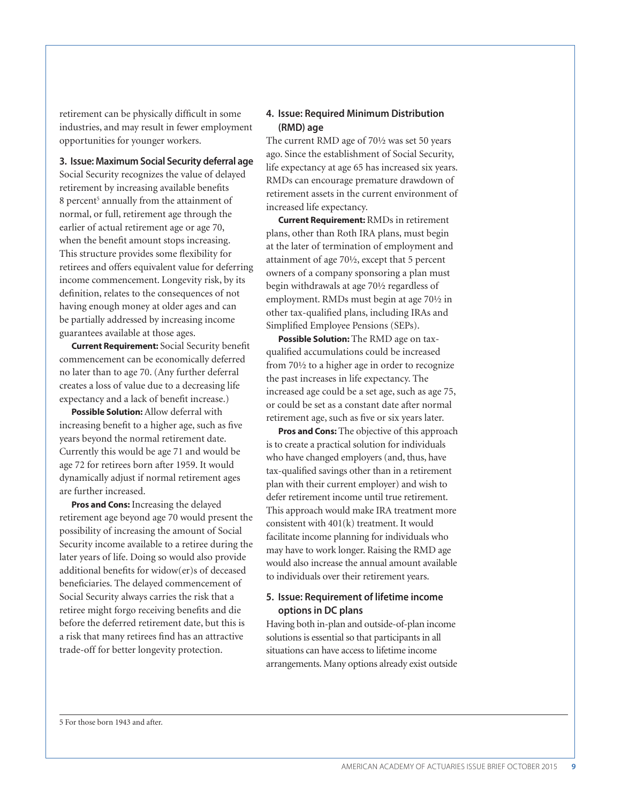retirement can be physically difficult in some industries, and may result in fewer employment opportunities for younger workers.

**3. Issue: Maximum Social Security deferral age**

Social Security recognizes the value of delayed retirement by increasing available benefits 8 percent<sup>5</sup> annually from the attainment of normal, or full, retirement age through the earlier of actual retirement age or age 70, when the benefit amount stops increasing. This structure provides some flexibility for retirees and offers equivalent value for deferring income commencement. Longevity risk, by its definition, relates to the consequences of not having enough money at older ages and can be partially addressed by increasing income guarantees available at those ages.

**Current Requirement:** Social Security benefit commencement can be economically deferred no later than to age 70. (Any further deferral creates a loss of value due to a decreasing life expectancy and a lack of benefit increase.)

**Possible Solution:** Allow deferral with increasing benefit to a higher age, such as five years beyond the normal retirement date. Currently this would be age 71 and would be age 72 for retirees born after 1959. It would dynamically adjust if normal retirement ages are further increased.

**Pros and Cons:** Increasing the delayed retirement age beyond age 70 would present the possibility of increasing the amount of Social Security income available to a retiree during the later years of life. Doing so would also provide additional benefits for widow(er)s of deceased beneficiaries. The delayed commencement of Social Security always carries the risk that a retiree might forgo receiving benefits and die before the deferred retirement date, but this is a risk that many retirees find has an attractive trade-off for better longevity protection.

## **4. Issue: Required Minimum Distribution (RMD) age**

The current RMD age of 70½ was set 50 years ago. Since the establishment of Social Security, life expectancy at age 65 has increased six years. RMDs can encourage premature drawdown of retirement assets in the current environment of increased life expectancy.

**Current Requirement:** RMDs in retirement plans, other than Roth IRA plans, must begin at the later of termination of employment and attainment of age 70½, except that 5 percent owners of a company sponsoring a plan must begin withdrawals at age 70½ regardless of employment. RMDs must begin at age 70½ in other tax-qualified plans, including IRAs and Simplified Employee Pensions (SEPs).

**Possible Solution:** The RMD age on taxqualified accumulations could be increased from 70½ to a higher age in order to recognize the past increases in life expectancy. The increased age could be a set age, such as age 75, or could be set as a constant date after normal retirement age, such as five or six years later.

**Pros and Cons:** The objective of this approach is to create a practical solution for individuals who have changed employers (and, thus, have tax-qualified savings other than in a retirement plan with their current employer) and wish to defer retirement income until true retirement. This approach would make IRA treatment more consistent with 401(k) treatment. It would facilitate income planning for individuals who may have to work longer. Raising the RMD age would also increase the annual amount available to individuals over their retirement years.

## **5. Issue: Requirement of lifetime income options in DC plans**

Having both in-plan and outside-of-plan income solutions is essential so that participants in all situations can have access to lifetime income arrangements. Many options already exist outside

5 For those born 1943 and after.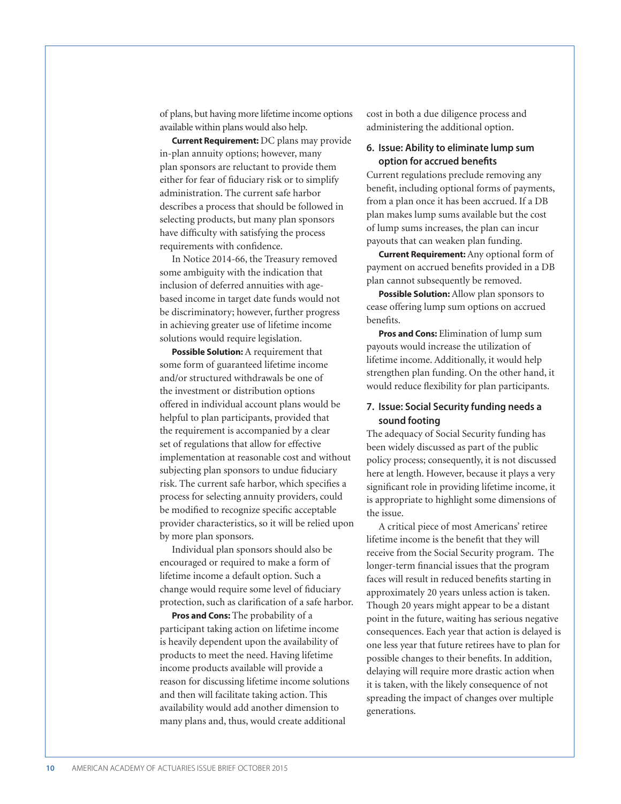of plans, but having more lifetime income options available within plans would also help.

**Current Requirement:** DC plans may provide in-plan annuity options; however, many plan sponsors are reluctant to provide them either for fear of fiduciary risk or to simplify administration. The current safe harbor describes a process that should be followed in selecting products, but many plan sponsors have difficulty with satisfying the process requirements with confidence.

In Notice 2014-66, the Treasury removed some ambiguity with the indication that inclusion of deferred annuities with agebased income in target date funds would not be discriminatory; however, further progress in achieving greater use of lifetime income solutions would require legislation.

**Possible Solution:** A requirement that some form of guaranteed lifetime income and/or structured withdrawals be one of the investment or distribution options offered in individual account plans would be helpful to plan participants, provided that the requirement is accompanied by a clear set of regulations that allow for effective implementation at reasonable cost and without subjecting plan sponsors to undue fiduciary risk. The current safe harbor, which specifies a process for selecting annuity providers, could be modified to recognize specific acceptable provider characteristics, so it will be relied upon by more plan sponsors.

Individual plan sponsors should also be encouraged or required to make a form of lifetime income a default option. Such a change would require some level of fiduciary protection, such as clarification of a safe harbor.

**Pros and Cons:** The probability of a participant taking action on lifetime income is heavily dependent upon the availability of products to meet the need. Having lifetime income products available will provide a reason for discussing lifetime income solutions and then will facilitate taking action. This availability would add another dimension to many plans and, thus, would create additional

cost in both a due diligence process and administering the additional option.

## **6. Issue: Ability to eliminate lump sum option for accrued benefits**

Current regulations preclude removing any benefit, including optional forms of payments, from a plan once it has been accrued. If a DB plan makes lump sums available but the cost of lump sums increases, the plan can incur payouts that can weaken plan funding.

**Current Requirement:** Any optional form of payment on accrued benefits provided in a DB plan cannot subsequently be removed.

**Possible Solution:** Allow plan sponsors to cease offering lump sum options on accrued benefits.

**Pros and Cons:** Elimination of lump sum payouts would increase the utilization of lifetime income. Additionally, it would help strengthen plan funding. On the other hand, it would reduce flexibility for plan participants.

## **7. Issue: Social Security funding needs a sound footing**

The adequacy of Social Security funding has been widely discussed as part of the public policy process; consequently, it is not discussed here at length. However, because it plays a very significant role in providing lifetime income, it is appropriate to highlight some dimensions of the issue.

A critical piece of most Americans' retiree lifetime income is the benefit that they will receive from the Social Security program. The longer-term financial issues that the program faces will result in reduced benefits starting in approximately 20 years unless action is taken. Though 20 years might appear to be a distant point in the future, waiting has serious negative consequences. Each year that action is delayed is one less year that future retirees have to plan for possible changes to their benefits. In addition, delaying will require more drastic action when it is taken, with the likely consequence of not spreading the impact of changes over multiple generations.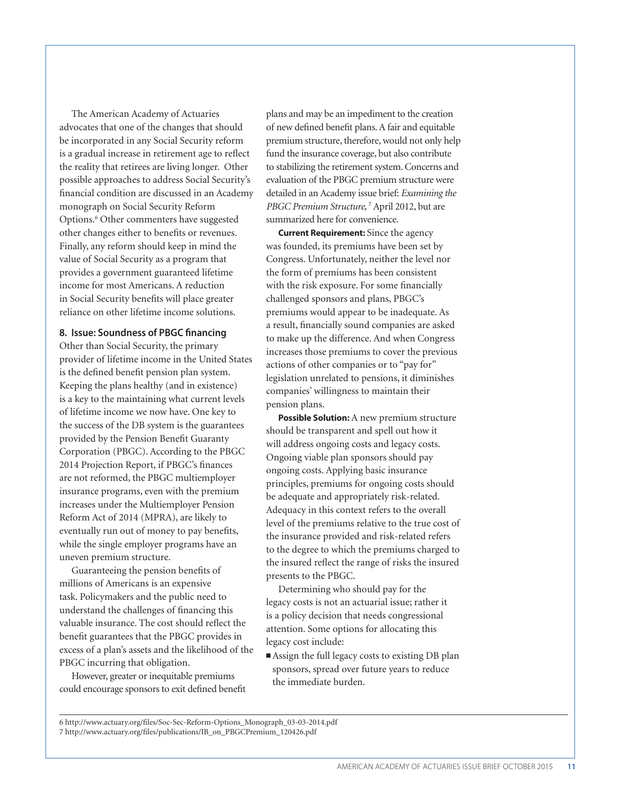The American Academy of Actuaries advocates that one of the changes that should be incorporated in any Social Security reform is a gradual increase in retirement age to reflect the reality that retirees are living longer. Other possible approaches to address Social Security's financial condition are discussed in an Academy monograph on Social Security Reform Options.<sup>6</sup> Other commenters have suggested other changes either to benefits or revenues. Finally, any reform should keep in mind the value of Social Security as a program that provides a government guaranteed lifetime income for most Americans. A reduction in Social Security benefits will place greater reliance on other lifetime income solutions.

#### **8. Issue: Soundness of PBGC financing**

Other than Social Security, the primary provider of lifetime income in the United States is the defined benefit pension plan system. Keeping the plans healthy (and in existence) is a key to the maintaining what current levels of lifetime income we now have. One key to the success of the DB system is the guarantees provided by the Pension Benefit Guaranty Corporation (PBGC). According to the PBGC 2014 Projection Report, if PBGC's finances are not reformed, the PBGC multiemployer insurance programs, even with the premium increases under the Multiemployer Pension Reform Act of 2014 (MPRA), are likely to eventually run out of money to pay benefits, while the single employer programs have an uneven premium structure.

Guaranteeing the pension benefits of millions of Americans is an expensive task. Policymakers and the public need to understand the challenges of financing this valuable insurance. The cost should reflect the benefit guarantees that the PBGC provides in excess of a plan's assets and the likelihood of the PBGC incurring that obligation.

However, greater or inequitable premiums could encourage sponsors to exit defined benefit

plans and may be an impediment to the creation of new defined benefit plans. A fair and equitable premium structure, therefore, would not only help fund the insurance coverage, but also contribute to stabilizing the retirement system. Concerns and evaluation of the PBGC premium structure were detailed in an Academy issue brief: *Examining the*  PBGC Premium Structure,<sup>7</sup> April 2012, but are summarized here for convenience.

**Current Requirement:** Since the agency was founded, its premiums have been set by Congress. Unfortunately, neither the level nor the form of premiums has been consistent with the risk exposure. For some financially challenged sponsors and plans, PBGC's premiums would appear to be inadequate. As a result, financially sound companies are asked to make up the difference. And when Congress increases those premiums to cover the previous actions of other companies or to "pay for" legislation unrelated to pensions, it diminishes companies' willingness to maintain their pension plans.

**Possible Solution:** A new premium structure should be transparent and spell out how it will address ongoing costs and legacy costs. Ongoing viable plan sponsors should pay ongoing costs. Applying basic insurance principles, premiums for ongoing costs should be adequate and appropriately risk-related. Adequacy in this context refers to the overall level of the premiums relative to the true cost of the insurance provided and risk-related refers to the degree to which the premiums charged to the insured reflect the range of risks the insured presents to the PBGC.

Determining who should pay for the legacy costs is not an actuarial issue; rather it is a policy decision that needs congressional attention. Some options for allocating this legacy cost include:

■ Assign the full legacy costs to existing DB plan sponsors, spread over future years to reduce the immediate burden.

6 http://www.actuary.org/files/Soc-Sec-Reform-Options\_Monograph\_03-03-2014.pdf 7 http://www.actuary.org/files/publications/IB\_on\_PBGCPremium\_120426.pdf